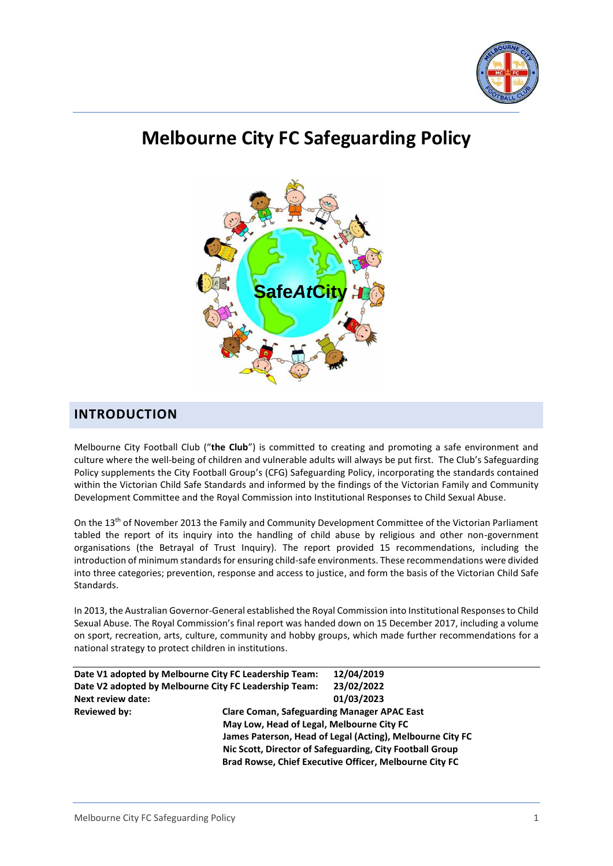

# **Melbourne City FC Safeguarding Policy**



# <span id="page-0-0"></span>**INTRODUCTION**

Melbourne City Football Club ("**the Club**") is committed to creating and promoting a safe environment and culture where the well-being of children and vulnerable adults will always be put first. The Club's Safeguarding Policy supplements the City Football Group's (CFG) Safeguarding Policy, incorporating the standards contained within the Victorian Child Safe Standards and informed by the findings of the Victorian Family and Community Development Committee and the Royal Commission into Institutional Responses to Child Sexual Abuse.

On the 13th of November 2013 the Family and Community Development Committee of the Victorian Parliament tabled the report of its inquiry into the handling of child abuse by religious and other non-government organisations (the Betrayal of Trust Inquiry). The report provided 15 recommendations, including the introduction of minimum standards for ensuring child-safe environments. These recommendations were divided into three categories; prevention, response and access to justice, and form the basis of the Victorian Child Safe Standards.

In 2013, the Australian Governor-General established the Royal Commission into Institutional Responses to Child Sexual Abuse. The Royal Commission's final report was handed down on 15 December 2017, including a volume on sport, recreation, arts, culture, community and hobby groups, which made further recommendations for a national strategy to protect children in institutions.

| <b>Clare Coman, Safeguarding Manager APAC East</b>        |  |  |
|-----------------------------------------------------------|--|--|
| May Low, Head of Legal, Melbourne City FC                 |  |  |
| James Paterson, Head of Legal (Acting), Melbourne City FC |  |  |
| Nic Scott, Director of Safeguarding, City Football Group  |  |  |
|                                                           |  |  |
|                                                           |  |  |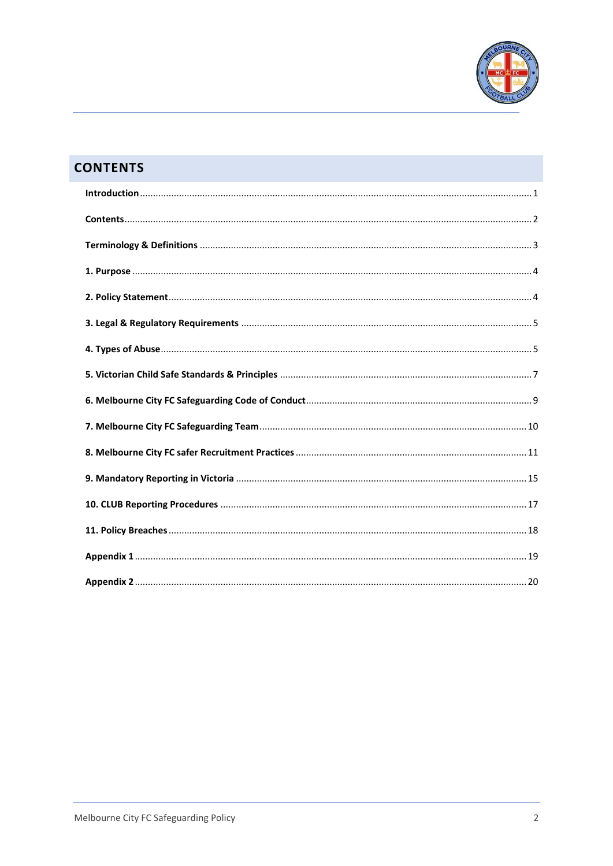

# <span id="page-1-0"></span>**CONTENTS**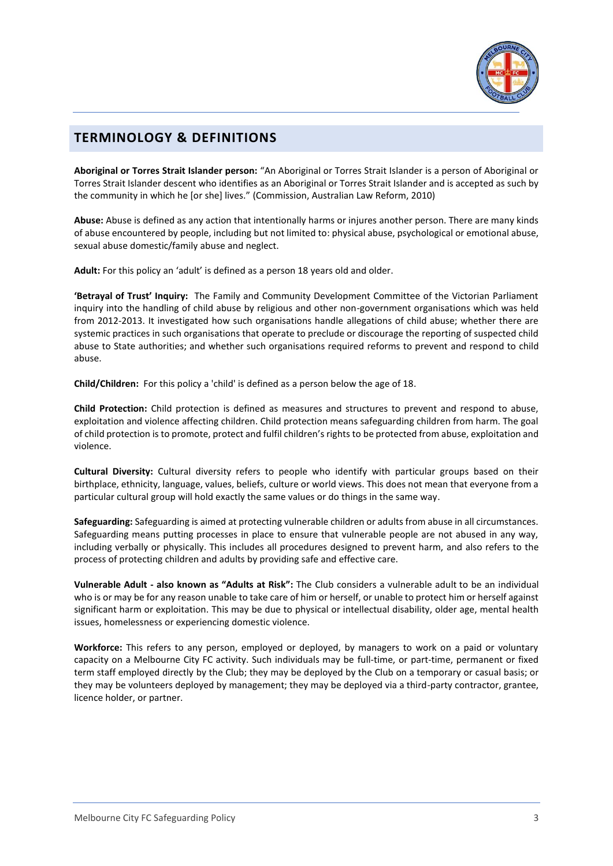

# <span id="page-2-0"></span>**TERMINOLOGY & DEFINITIONS**

**Aboriginal or Torres Strait Islander person:** "An Aboriginal or Torres Strait Islander is a person of Aboriginal or Torres Strait Islander descent who identifies as an Aboriginal or Torres Strait Islander and is accepted as such by the community in which he [or she] lives." (Commission, Australian Law Reform, 2010)

**Abuse:** Abuse is defined as any action that intentionally harms or injures another person. There are many kinds of abuse encountered by people, including but not limited to: physical abuse, psychological or emotional abuse, sexual abuse domestic/family abuse and neglect.

**Adult:** For this policy an 'adult' is defined as a person 18 years old and older.

**'Betrayal of Trust' Inquiry:** The Family and Community Development Committee of the Victorian Parliament inquiry into the handling of child abuse by religious and other non-government organisations which was held from 2012-2013. It investigated how such organisations handle allegations of child abuse; whether there are systemic practices in such organisations that operate to preclude or discourage the reporting of suspected child abuse to State authorities; and whether such organisations required reforms to prevent and respond to child abuse.

**Child/Children:** For this policy a 'child' is defined as a person below the age of 18.

**Child Protection:** Child protection is defined as measures and structures to prevent and respond to abuse, exploitation and violence affecting children. Child protection means safeguarding children from harm. The goal of child protection is to promote, protect and fulfil children's rights to be protected from abuse, exploitation and violence.

**Cultural Diversity:** Cultural diversity refers to people who identify with particular groups based on their birthplace, ethnicity, language, values, beliefs, culture or world views. This does not mean that everyone from a particular cultural group will hold exactly the same values or do things in the same way.

**Safeguarding:** Safeguarding is aimed at protecting vulnerable children or adults from abuse in all circumstances. Safeguarding means putting processes in place to ensure that vulnerable people are not abused in any way, including verbally or physically. This includes all procedures designed to prevent harm, and also refers to the process of protecting children and adults by providing safe and effective care.

**Vulnerable Adult - also known as "Adults at Risk":** The Club considers a vulnerable adult to be an individual who is or may be for any reason unable to take care of him or herself, or unable to protect him or herself against significant harm or exploitation. This may be due to physical or intellectual disability, older age, mental health issues, homelessness or experiencing domestic violence.

**Workforce:** This refers to any person, employed or deployed, by managers to work on a paid or voluntary capacity on a Melbourne City FC activity. Such individuals may be full-time, or part-time, permanent or fixed term staff employed directly by the Club; they may be deployed by the Club on a temporary or casual basis; or they may be volunteers deployed by management; they may be deployed via a third-party contractor, grantee, licence holder, or partner.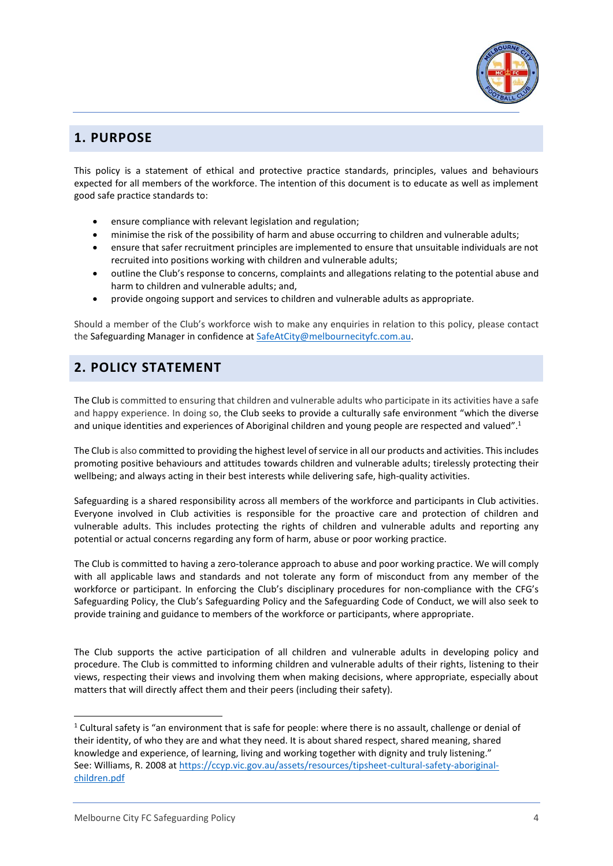

# <span id="page-3-0"></span>**1. PURPOSE**

This policy is a statement of ethical and protective practice standards, principles, values and behaviours expected for all members of the workforce. The intention of this document is to educate as well as implement good safe practice standards to:

- ensure compliance with relevant legislation and regulation;
- minimise the risk of the possibility of harm and abuse occurring to children and vulnerable adults;
- ensure that safer recruitment principles are implemented to ensure that unsuitable individuals are not recruited into positions working with children and vulnerable adults;
- outline the Club's response to concerns, complaints and allegations relating to the potential abuse and harm to children and vulnerable adults; and,
- provide ongoing support and services to children and vulnerable adults as appropriate.

Should a member of the Club's workforce wish to make any enquiries in relation to this policy, please contact the Safeguarding Manager in confidence at [SafeAtCity@melbournecityfc.com.au.](mailto:SafeAtCity@melbournecityfc.com.au)

# <span id="page-3-1"></span>**2. POLICY STATEMENT**

The Club is committed to ensuring that children and vulnerable adults who participate in its activities have a safe and happy experience. In doing so, the Club seeks to provide a culturally safe environment "which the diverse and unique identities and experiences of Aboriginal children and young people are respected and valued".<sup>1</sup>

The Club is also committed to providing the highest level of service in all our products and activities. This includes promoting positive behaviours and attitudes towards children and vulnerable adults; tirelessly protecting their wellbeing; and always acting in their best interests while delivering safe, high-quality activities.

Safeguarding is a shared responsibility across all members of the workforce and participants in Club activities. Everyone involved in Club activities is responsible for the proactive care and protection of children and vulnerable adults. This includes protecting the rights of children and vulnerable adults and reporting any potential or actual concerns regarding any form of harm, abuse or poor working practice.

The Club is committed to having a zero-tolerance approach to abuse and poor working practice. We will comply with all applicable laws and standards and not tolerate any form of misconduct from any member of the workforce or participant. In enforcing the Club's disciplinary procedures for non-compliance with the CFG's Safeguarding Policy, the Club's Safeguarding Policy and the Safeguarding Code of Conduct, we will also seek to provide training and guidance to members of the workforce or participants, where appropriate.

The Club supports the active participation of all children and vulnerable adults in developing policy and procedure. The Club is committed to informing children and vulnerable adults of their rights, listening to their views, respecting their views and involving them when making decisions, where appropriate, especially about matters that will directly affect them and their peers (including their safety).

 $1$  Cultural safety is "an environment that is safe for people: where there is no assault, challenge or denial of their identity, of who they are and what they need. It is about shared respect, shared meaning, shared knowledge and experience, of learning, living and working together with dignity and truly listening." See: Williams, R. 2008 at [https://ccyp.vic.gov.au/assets/resources/tipsheet-cultural-safety-aboriginal](https://ccyp.vic.gov.au/assets/resources/tipsheet-cultural-safety-aboriginal-children.pdf)[children.pdf](https://ccyp.vic.gov.au/assets/resources/tipsheet-cultural-safety-aboriginal-children.pdf)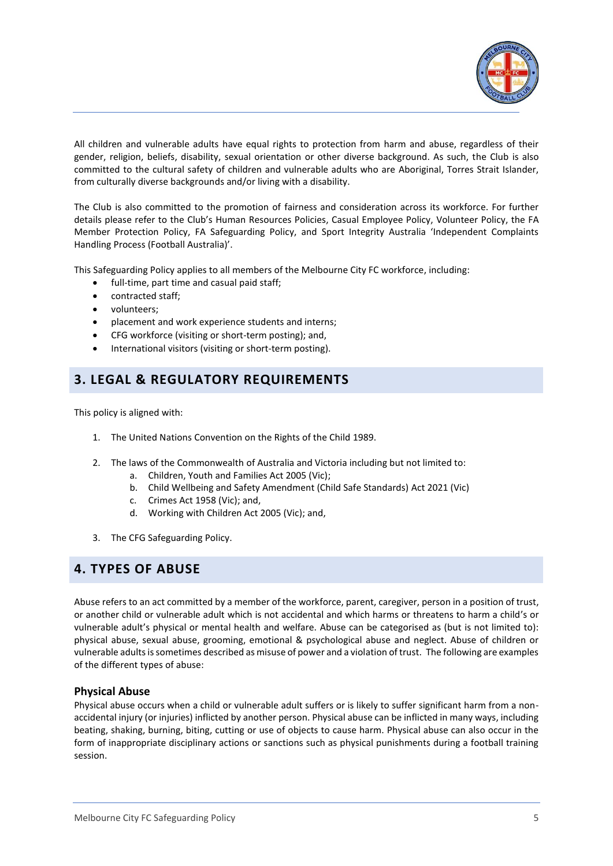

All children and vulnerable adults have equal rights to protection from harm and abuse, regardless of their gender, religion, beliefs, disability, sexual orientation or other diverse background. As such, the Club is also committed to the cultural safety of children and vulnerable adults who are Aboriginal, Torres Strait Islander, from culturally diverse backgrounds and/or living with a disability.

The Club is also committed to the promotion of fairness and consideration across its workforce. For further details please refer to the Club's Human Resources Policies, Casual Employee Policy, Volunteer Policy, the FA Member Protection Policy, FA Safeguarding Policy, and Sport Integrity Australia 'Independent Complaints Handling Process (Football Australia)'.

This Safeguarding Policy applies to all members of the Melbourne City FC workforce, including:

- full-time, part time and casual paid staff;
- contracted staff;
- volunteers;
- placement and work experience students and interns;
- CFG workforce (visiting or short-term posting); and,
- International visitors (visiting or short-term posting).

# <span id="page-4-0"></span>**3. LEGAL & REGULATORY REQUIREMENTS**

This policy is aligned with:

- 1. The United Nations Convention on the Rights of the Child 1989.
- 2. The laws of the Commonwealth of Australia and Victoria including but not limited to:
	- a. Children, Youth and Families Act 2005 (Vic);
	- b. Child Wellbeing and Safety Amendment (Child Safe Standards) Act 2021 (Vic)
	- c. Crimes Act 1958 (Vic); and,
	- d. Working with Children Act 2005 (Vic); and,
- 3. The CFG Safeguarding Policy.

## <span id="page-4-1"></span>**4. TYPES OF ABUSE**

Abuse refers to an act committed by a member of the workforce, parent, caregiver, person in a position of trust, or another child or vulnerable adult which is not accidental and which harms or threatens to harm a child's or vulnerable adult's physical or mental health and welfare. Abuse can be categorised as (but is not limited to): physical abuse, sexual abuse, grooming, emotional & psychological abuse and neglect. Abuse of children or vulnerable adults is sometimes described as misuse of power and a violation of trust. The following are examples of the different types of abuse:

#### **Physical Abuse**

Physical abuse occurs when a child or vulnerable adult suffers or is likely to suffer significant harm from a nonaccidental injury (or injuries) inflicted by another person. Physical abuse can be inflicted in many ways, including beating, shaking, burning, biting, cutting or use of objects to cause harm. Physical abuse can also occur in the form of inappropriate disciplinary actions or sanctions such as physical punishments during a football training session.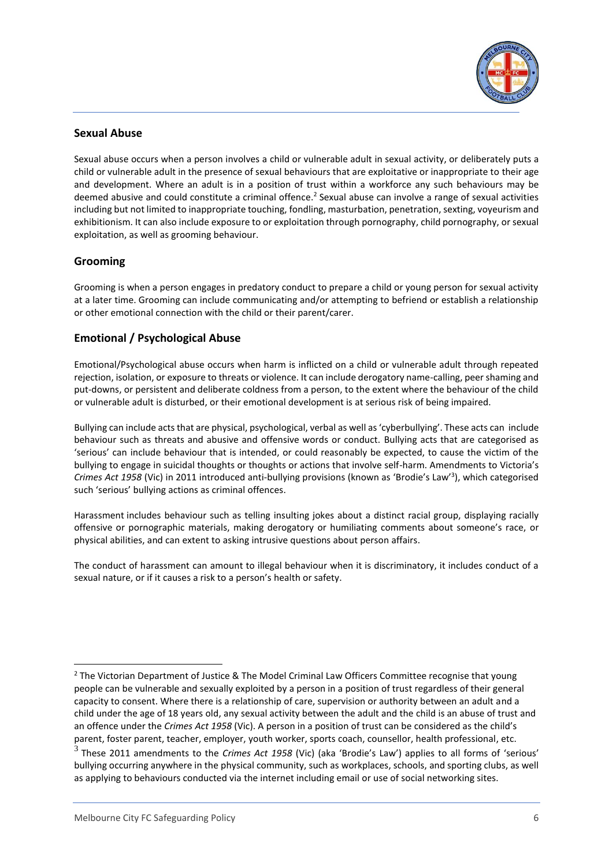

### **Sexual Abuse**

Sexual abuse occurs when a person involves a child or vulnerable adult in sexual activity, or deliberately puts a child or vulnerable adult in the presence of sexual behaviours that are exploitative or inappropriate to their age and development. Where an adult is in a position of trust within a workforce any such behaviours may be deemed abusive and could constitute a criminal offence.<sup>2</sup> Sexual abuse can involve a range of sexual activities including but not limited to inappropriate touching, fondling, masturbation, penetration, sexting, voyeurism and exhibitionism. It can also include exposure to or exploitation through pornography, child pornography, or sexual exploitation, as well as grooming behaviour.

### **Grooming**

Grooming is when a person engages in predatory conduct to prepare a child or young person for sexual activity at a later time. Grooming can include communicating and/or attempting to befriend or establish a relationship or other emotional connection with the child or their parent/carer.

## **Emotional / Psychological Abuse**

Emotional/Psychological abuse occurs when harm is inflicted on a child or vulnerable adult through repeated rejection, isolation, or exposure to threats or violence. It can include derogatory name-calling, peer shaming and put-downs, or persistent and deliberate coldness from a person, to the extent where the behaviour of the child or vulnerable adult is disturbed, or their emotional development is at serious risk of being impaired.

Bullying can include acts that are physical, psychological, verbal as well as 'cyberbullying'. These acts can include behaviour such as threats and abusive and offensive words or conduct. Bullying acts that are categorised as 'serious' can include behaviour that is intended, or could reasonably be expected, to cause the victim of the bullying to engage in suicidal thoughts or thoughts or actions that involve self-harm. Amendments to Victoria's Crimes Act 1958 (Vic) in 2011 introduced anti-bullying provisions (known as 'Brodie's Law<sup>'3</sup>), which categorised such 'serious' bullying actions as criminal offences.

Harassment includes behaviour such as telling insulting jokes about a distinct racial group, displaying racially offensive or pornographic materials, making derogatory or humiliating comments about someone's race, or physical abilities, and can extent to asking intrusive questions about person affairs.

The conduct of harassment can amount to illegal behaviour when it is discriminatory, it includes conduct of a sexual nature, or if it causes a risk to a person's health or safety.

 $<sup>2</sup>$  The Victorian Department of Justice & The Model Criminal Law Officers Committee recognise that young</sup> people can be vulnerable and sexually exploited by a person in a position of trust regardless of their general capacity to consent. Where there is a relationship of care, supervision or authority between an adult and a child under the age of 18 years old, any sexual activity between the adult and the child is an abuse of trust and an offence under the *Crimes Act 1958* (Vic). A person in a position of trust can be considered as the child's parent, foster parent, teacher, employer, youth worker, sports coach, counsellor, health professional, etc. 3 These 2011 amendments to the *Crimes Act 1958* (Vic) (aka 'Brodie's Law') applies to all forms of 'serious' bullying occurring anywhere in the physical community, such as workplaces, schools, and sporting clubs, as well as applying to behaviours conducted via the internet including email or use of social networking sites.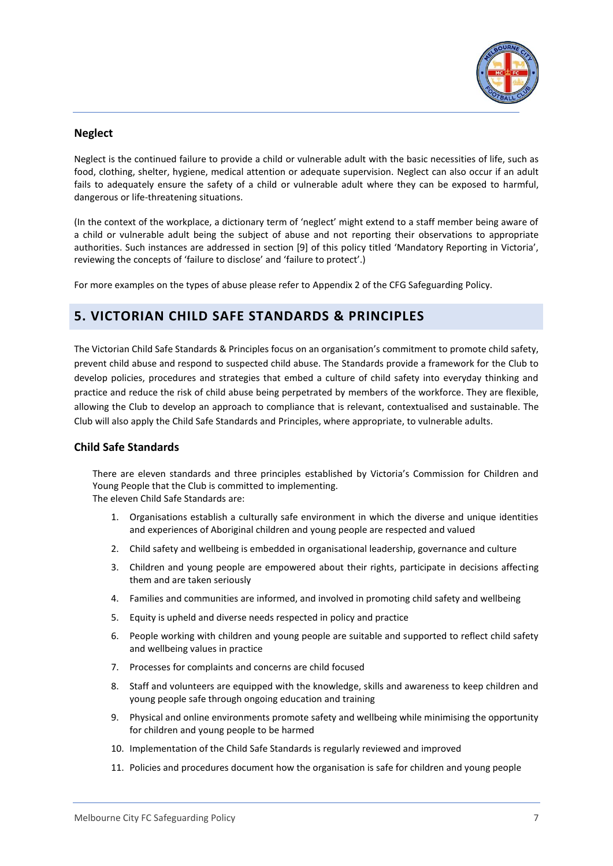

### **Neglect**

Neglect is the continued failure to provide a child or vulnerable adult with the basic necessities of life, such as food, clothing, shelter, hygiene, medical attention or adequate supervision. Neglect can also occur if an adult fails to adequately ensure the safety of a child or vulnerable adult where they can be exposed to harmful, dangerous or life-threatening situations.

(In the context of the workplace, a dictionary term of 'neglect' might extend to a staff member being aware of a child or vulnerable adult being the subject of abuse and not reporting their observations to appropriate authorities. Such instances are addressed in section [9] of this policy titled 'Mandatory Reporting in Victoria', reviewing the concepts of 'failure to disclose' and 'failure to protect'.)

For more examples on the types of abuse please refer to Appendix 2 of the CFG Safeguarding Policy.

# <span id="page-6-0"></span>**5. VICTORIAN CHILD SAFE STANDARDS & PRINCIPLES**

The Victorian Child Safe Standards & Principles focus on an organisation's commitment to promote child safety, prevent child abuse and respond to suspected child abuse. The Standards provide a framework for the Club to develop policies, procedures and strategies that embed a culture of child safety into everyday thinking and practice and reduce the risk of child abuse being perpetrated by members of the workforce. They are flexible, allowing the Club to develop an approach to compliance that is relevant, contextualised and sustainable. The Club will also apply the Child Safe Standards and Principles, where appropriate, to vulnerable adults.

#### **Child Safe Standards**

There are eleven standards and three principles established by Victoria's Commission for Children and Young People that the Club is committed to implementing. The eleven Child Safe Standards are:

- 1. Organisations establish a culturally safe environment in which the diverse and unique identities and experiences of Aboriginal children and young people are respected and valued
- 2. Child safety and wellbeing is embedded in organisational leadership, governance and culture
- 3. Children and young people are empowered about their rights, participate in decisions affecting them and are taken seriously
- 4. Families and communities are informed, and involved in promoting child safety and wellbeing
- 5. Equity is upheld and diverse needs respected in policy and practice
- 6. People working with children and young people are suitable and supported to reflect child safety and wellbeing values in practice
- 7. Processes for complaints and concerns are child focused
- 8. Staff and volunteers are equipped with the knowledge, skills and awareness to keep children and young people safe through ongoing education and training
- 9. Physical and online environments promote safety and wellbeing while minimising the opportunity for children and young people to be harmed
- 10. Implementation of the Child Safe Standards is regularly reviewed and improved
- 11. Policies and procedures document how the organisation is safe for children and young people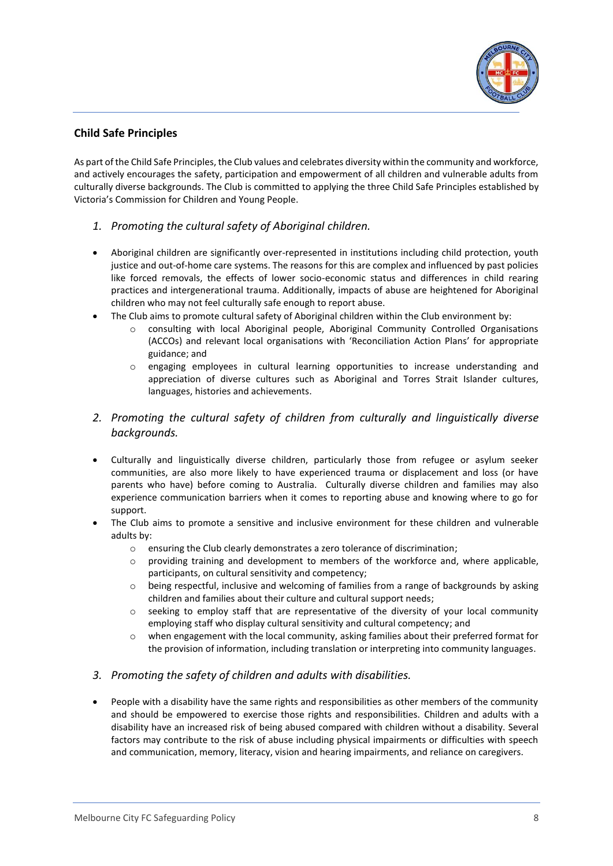

### **Child Safe Principles**

As part of the Child Safe Principles, the Club values and celebrates diversity within the community and workforce, and actively encourages the safety, participation and empowerment of all children and vulnerable adults from culturally diverse backgrounds. The Club is committed to applying the three Child Safe Principles established by Victoria's Commission for Children and Young People.

- *1. Promoting the cultural safety of Aboriginal children.*
- Aboriginal children are significantly over-represented in institutions including child protection, youth justice and out-of-home care systems. The reasons for this are complex and influenced by past policies like forced removals, the effects of lower socio-economic status and differences in child rearing practices and intergenerational trauma. Additionally, impacts of abuse are heightened for Aboriginal children who may not feel culturally safe enough to report abuse.
- The Club aims to promote cultural safety of Aboriginal children within the Club environment by:
	- consulting with local Aboriginal people, Aboriginal Community Controlled Organisations (ACCOs) and relevant local organisations with 'Reconciliation Action Plans' for appropriate guidance; and
	- engaging employees in cultural learning opportunities to increase understanding and appreciation of diverse cultures such as Aboriginal and Torres Strait Islander cultures, languages, histories and achievements.
- *2. Promoting the cultural safety of children from culturally and linguistically diverse backgrounds.*
- Culturally and linguistically diverse children, particularly those from refugee or asylum seeker communities, are also more likely to have experienced trauma or displacement and loss (or have parents who have) before coming to Australia. Culturally diverse children and families may also experience communication barriers when it comes to reporting abuse and knowing where to go for support.
- The Club aims to promote a sensitive and inclusive environment for these children and vulnerable adults by:
	- o ensuring the Club clearly demonstrates a zero tolerance of discrimination;
	- o providing training and development to members of the workforce and, where applicable, participants, on cultural sensitivity and competency;
	- $\circ$  being respectful, inclusive and welcoming of families from a range of backgrounds by asking children and families about their culture and cultural support needs;
	- o seeking to employ staff that are representative of the diversity of your local community employing staff who display cultural sensitivity and cultural competency; and
	- $\circ$  when engagement with the local community, asking families about their preferred format for the provision of information, including translation or interpreting into community languages.
- *3. Promoting the safety of children and adults with disabilities.*
- People with a disability have the same rights and responsibilities as other members of the community and should be empowered to exercise those rights and responsibilities. Children and adults with a disability have an increased risk of being abused compared with children without a disability. Several factors may contribute to the risk of abuse including physical impairments or difficulties with speech and communication, memory, literacy, vision and hearing impairments, and reliance on caregivers.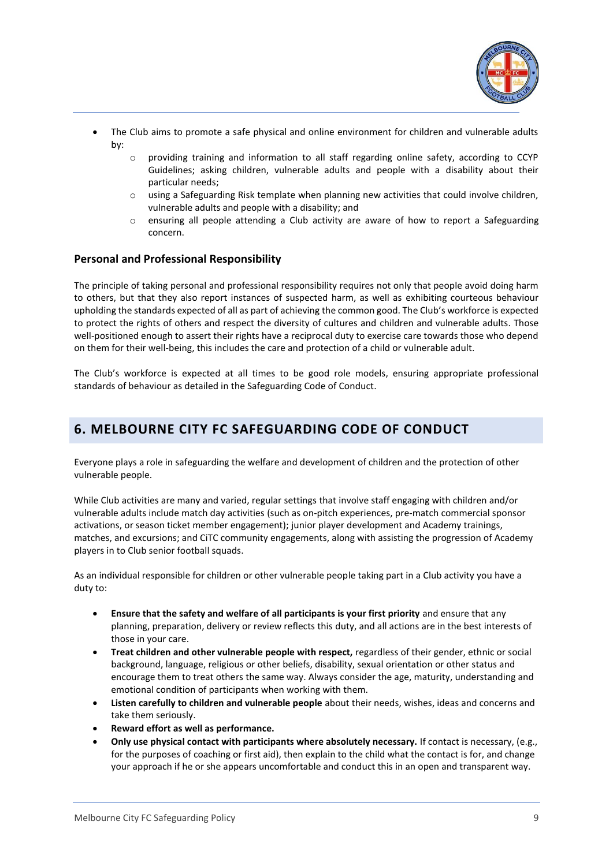

- The Club aims to promote a safe physical and online environment for children and vulnerable adults by:
	- o providing training and information to all staff regarding online safety, according to CCYP Guidelines; asking children, vulnerable adults and people with a disability about their particular needs;
	- o using a Safeguarding Risk template when planning new activities that could involve children, vulnerable adults and people with a disability; and
	- o ensuring all people attending a Club activity are aware of how to report a Safeguarding concern.

#### **Personal and Professional Responsibility**

The principle of taking personal and professional responsibility requires not only that people avoid doing harm to others, but that they also report instances of suspected harm, as well as exhibiting courteous behaviour upholding the standards expected of all as part of achieving the common good. The Club's workforce is expected to protect the rights of others and respect the diversity of cultures and children and vulnerable adults. Those well-positioned enough to assert their rights have a reciprocal duty to exercise care towards those who depend on them for their well-being, this includes the care and protection of a child or vulnerable adult.

The Club's workforce is expected at all times to be good role models, ensuring appropriate professional standards of behaviour as detailed in the Safeguarding Code of Conduct.

# <span id="page-8-0"></span>**6. MELBOURNE CITY FC SAFEGUARDING CODE OF CONDUCT**

Everyone plays a role in safeguarding the welfare and development of children and the protection of other vulnerable people.

While Club activities are many and varied, regular settings that involve staff engaging with children and/or vulnerable adults include match day activities (such as on-pitch experiences, pre-match commercial sponsor activations, or season ticket member engagement); junior player development and Academy trainings, matches, and excursions; and CiTC community engagements, along with assisting the progression of Academy players in to Club senior football squads.

As an individual responsible for children or other vulnerable people taking part in a Club activity you have a duty to:

- **Ensure that the safety and welfare of all participants is your first priority** and ensure that any planning, preparation, delivery or review reflects this duty, and all actions are in the best interests of those in your care.
- **Treat children and other vulnerable people with respect,** regardless of their gender, ethnic or social background, language, religious or other beliefs, disability, sexual orientation or other status and encourage them to treat others the same way. Always consider the age, maturity, understanding and emotional condition of participants when working with them.
- **Listen carefully to children and vulnerable people** about their needs, wishes, ideas and concerns and take them seriously.
- **Reward effort as well as performance.**
- **Only use physical contact with participants where absolutely necessary.** If contact is necessary, (e.g., for the purposes of coaching or first aid), then explain to the child what the contact is for, and change your approach if he or she appears uncomfortable and conduct this in an open and transparent way.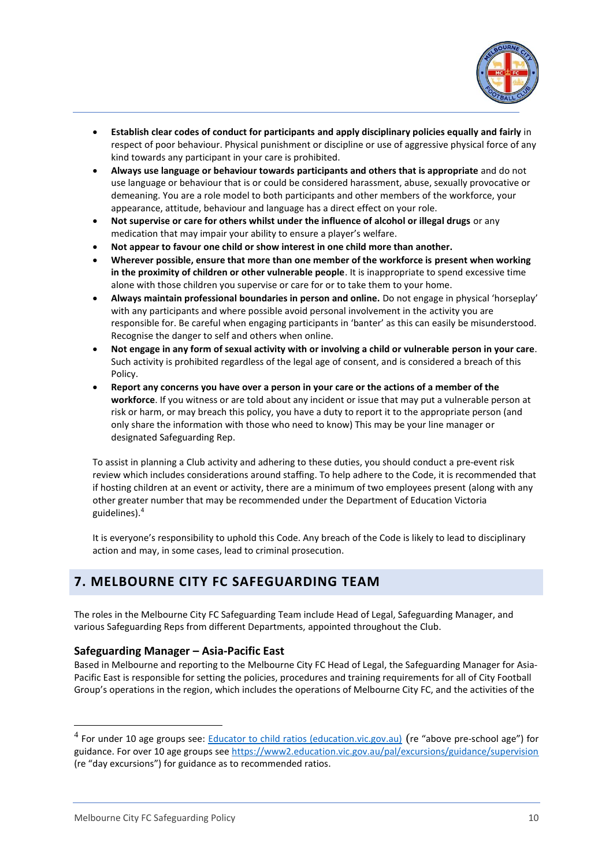

- **Establish clear codes of conduct for participants and apply disciplinary policies equally and fairly** in respect of poor behaviour. Physical punishment or discipline or use of aggressive physical force of any kind towards any participant in your care is prohibited.
- **Always use language or behaviour towards participants and others that is appropriate** and do not use language or behaviour that is or could be considered harassment, abuse, sexually provocative or demeaning. You are a role model to both participants and other members of the workforce, your appearance, attitude, behaviour and language has a direct effect on your role.
- **Not supervise or care for others whilst under the influence of alcohol or illegal drugs** or any medication that may impair your ability to ensure a player's welfare.
- **Not appear to favour one child or show interest in one child more than another.**
- **Wherever possible, ensure that more than one member of the workforce is present when working in the proximity of children or other vulnerable people**. It is inappropriate to spend excessive time alone with those children you supervise or care for or to take them to your home.
- **Always maintain professional boundaries in person and online.** Do not engage in physical 'horseplay' with any participants and where possible avoid personal involvement in the activity you are responsible for. Be careful when engaging participants in 'banter' as this can easily be misunderstood. Recognise the danger to self and others when online.
- **Not engage in any form of sexual activity with or involving a child or vulnerable person in your care**. Such activity is prohibited regardless of the legal age of consent, and is considered a breach of this Policy.
- **Report any concerns you have over a person in your care or the actions of a member of the workforce**. If you witness or are told about any incident or issue that may put a vulnerable person at risk or harm, or may breach this policy, you have a duty to report it to the appropriate person (and only share the information with those who need to know) This may be your line manager or designated Safeguarding Rep.

To assist in planning a Club activity and adhering to these duties, you should conduct a pre-event risk review which includes considerations around staffing. To help adhere to the Code, it is recommended that if hosting children at an event or activity, there are a minimum of two employees present (along with any other greater number that may be recommended under the Department of Education Victoria guidelines). 4

It is everyone's responsibility to uphold this Code. Any breach of the Code is likely to lead to disciplinary action and may, in some cases, lead to criminal prosecution.

# <span id="page-9-0"></span>**7. MELBOURNE CITY FC SAFEGUARDING TEAM**

The roles in the Melbourne City FC Safeguarding Team include Head of Legal, Safeguarding Manager, and various Safeguarding Reps from different Departments, appointed throughout the Club.

### **Safeguarding Manager – Asia-Pacific East**

Based in Melbourne and reporting to the Melbourne City FC Head of Legal, the Safeguarding Manager for Asia-Pacific East is responsible for setting the policies, procedures and training requirements for all of City Football Group's operations in the region, which includes the operations of Melbourne City FC, and the activities of the

<sup>&</sup>lt;sup>4</sup> For under 10 age groups see: [Educator to child ratios \(education.vic.gov.au\)](https://www.education.vic.gov.au/childhood/providers/regulation/Pages/edchildratios.aspx) (re "above pre-school age") for guidance. For over 10 age groups see <https://www2.education.vic.gov.au/pal/excursions/guidance/supervision> (re "day excursions") for guidance as to recommended ratios.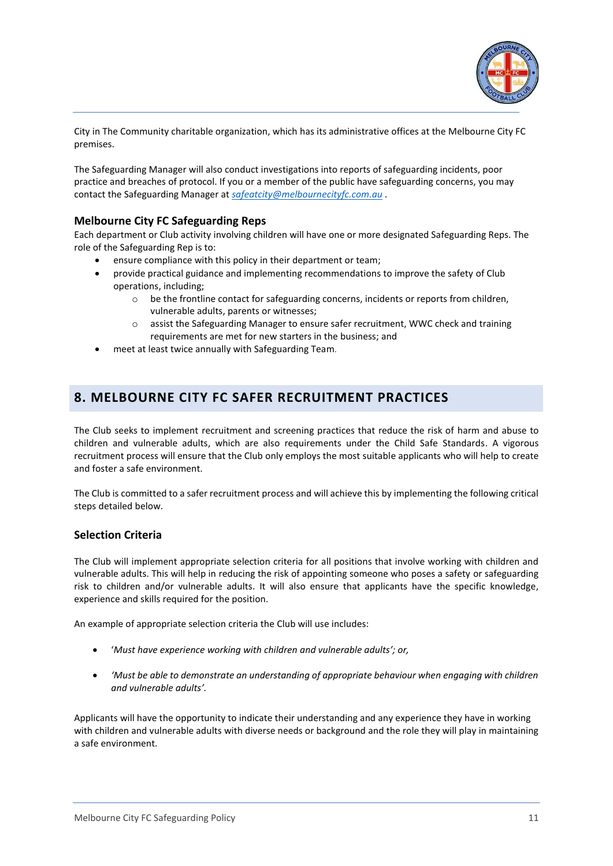

City in The Community charitable organization, which has its administrative offices at the Melbourne City FC premises.

The Safeguarding Manager will also conduct investigations into reports of safeguarding incidents, poor practice and breaches of protocol. If you or a member of the public have safeguarding concerns, you may contact the Safeguarding Manager at *[safeatcity@melbournecityfc.com.au](mailto:safeatcity@melbournecityfc.com.au) .*

### **Melbourne City FC Safeguarding Reps**

Each department or Club activity involving children will have one or more designated Safeguarding Reps. The role of the Safeguarding Rep is to:

- ensure compliance with this policy in their department or team;
- provide practical guidance and implementing recommendations to improve the safety of Club operations, including;
	- $\circ$  be the frontline contact for safeguarding concerns, incidents or reports from children, vulnerable adults, parents or witnesses;
	- o assist the Safeguarding Manager to ensure safer recruitment, WWC check and training requirements are met for new starters in the business; and
- meet at least twice annually with Safeguarding Team.

# <span id="page-10-0"></span>**8. MELBOURNE CITY FC SAFER RECRUITMENT PRACTICES**

The Club seeks to implement recruitment and screening practices that reduce the risk of harm and abuse to children and vulnerable adults, which are also requirements under the Child Safe Standards. A vigorous recruitment process will ensure that the Club only employs the most suitable applicants who will help to create and foster a safe environment.

The Club is committed to a safer recruitment process and will achieve this by implementing the following critical steps detailed below.

### **Selection Criteria**

The Club will implement appropriate selection criteria for all positions that involve working with children and vulnerable adults. This will help in reducing the risk of appointing someone who poses a safety or safeguarding risk to children and/or vulnerable adults. It will also ensure that applicants have the specific knowledge, experience and skills required for the position.

An example of appropriate selection criteria the Club will use includes:

- '*Must have experience working with children and vulnerable adults'; or,*
- *'Must be able to demonstrate an understanding of appropriate behaviour when engaging with children and vulnerable adults'.*

Applicants will have the opportunity to indicate their understanding and any experience they have in working with children and vulnerable adults with diverse needs or background and the role they will play in maintaining a safe environment.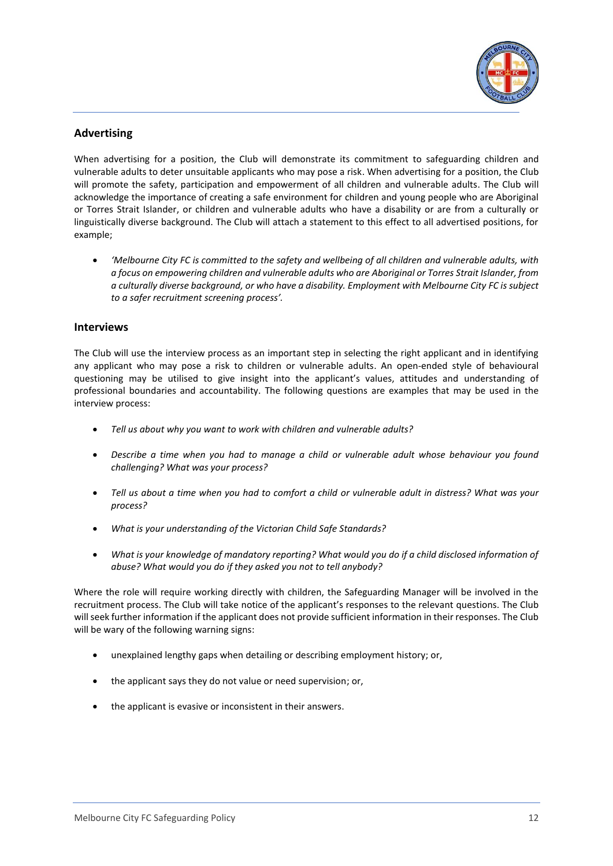

### **Advertising**

When advertising for a position, the Club will demonstrate its commitment to safeguarding children and vulnerable adults to deter unsuitable applicants who may pose a risk. When advertising for a position, the Club will promote the safety, participation and empowerment of all children and vulnerable adults. The Club will acknowledge the importance of creating a safe environment for children and young people who are Aboriginal or Torres Strait Islander, or children and vulnerable adults who have a disability or are from a culturally or linguistically diverse background. The Club will attach a statement to this effect to all advertised positions, for example;

• *'Melbourne City FC is committed to the safety and wellbeing of all children and vulnerable adults, with a focus on empowering children and vulnerable adults who are Aboriginal or Torres Strait Islander, from a culturally diverse background, or who have a disability. Employment with Melbourne City FC is subject to a safer recruitment screening process'.* 

#### **Interviews**

The Club will use the interview process as an important step in selecting the right applicant and in identifying any applicant who may pose a risk to children or vulnerable adults. An open-ended style of behavioural questioning may be utilised to give insight into the applicant's values, attitudes and understanding of professional boundaries and accountability. The following questions are examples that may be used in the interview process:

- *Tell us about why you want to work with children and vulnerable adults?*
- *Describe a time when you had to manage a child or vulnerable adult whose behaviour you found challenging? What was your process?*
- *Tell us about a time when you had to comfort a child or vulnerable adult in distress? What was your process?*
- *What is your understanding of the Victorian Child Safe Standards?*
- *What is your knowledge of mandatory reporting? What would you do if a child disclosed information of abuse? What would you do if they asked you not to tell anybody?*

Where the role will require working directly with children, the Safeguarding Manager will be involved in the recruitment process. The Club will take notice of the applicant's responses to the relevant questions. The Club will seek further information if the applicant does not provide sufficient information in their responses. The Club will be wary of the following warning signs:

- unexplained lengthy gaps when detailing or describing employment history; or,
- the applicant says they do not value or need supervision; or,
- the applicant is evasive or inconsistent in their answers.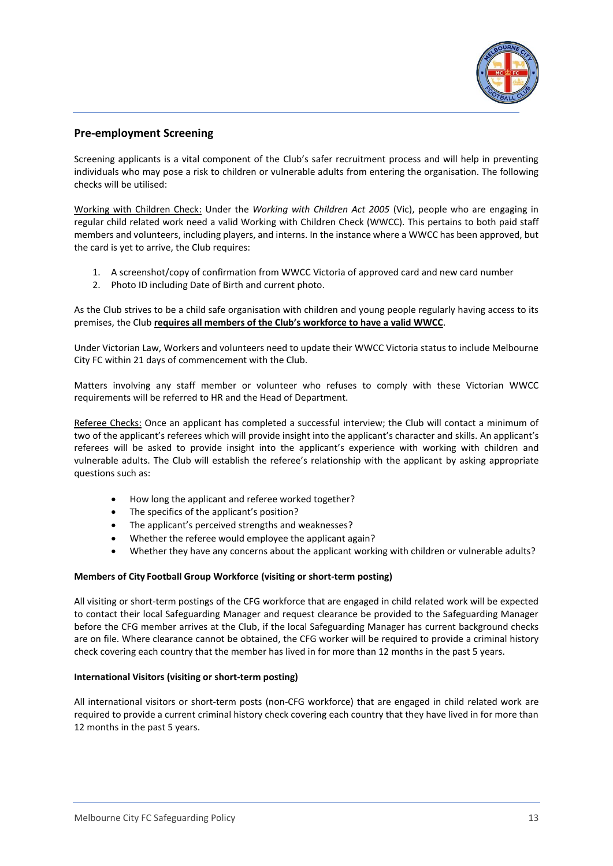

### **Pre-employment Screening**

Screening applicants is a vital component of the Club's safer recruitment process and will help in preventing individuals who may pose a risk to children or vulnerable adults from entering the organisation. The following checks will be utilised:

Working with Children Check: Under the *Working with Children Act 2005* (Vic), people who are engaging in regular child related work need a valid Working with Children Check (WWCC). This pertains to both paid staff members and volunteers, including players, and interns. In the instance where a WWCC has been approved, but the card is yet to arrive, the Club requires:

- 1. A screenshot/copy of confirmation from WWCC Victoria of approved card and new card number
- 2. Photo ID including Date of Birth and current photo.

As the Club strives to be a child safe organisation with children and young people regularly having access to its premises, the Club **requires all members of the Club's workforce to have a valid WWCC**.

Under Victorian Law, Workers and volunteers need to update their WWCC Victoria status to include Melbourne City FC within 21 days of commencement with the Club.

Matters involving any staff member or volunteer who refuses to comply with these Victorian WWCC requirements will be referred to HR and the Head of Department.

Referee Checks: Once an applicant has completed a successful interview; the Club will contact a minimum of two of the applicant's referees which will provide insight into the applicant's character and skills. An applicant's referees will be asked to provide insight into the applicant's experience with working with children and vulnerable adults. The Club will establish the referee's relationship with the applicant by asking appropriate questions such as:

- How long the applicant and referee worked together?
- The specifics of the applicant's position?
- The applicant's perceived strengths and weaknesses?
- Whether the referee would employee the applicant again?
- Whether they have any concerns about the applicant working with children or vulnerable adults?

#### **Members of City Football Group Workforce (visiting or short-term posting)**

All visiting or short-term postings of the CFG workforce that are engaged in child related work will be expected to contact their local Safeguarding Manager and request clearance be provided to the Safeguarding Manager before the CFG member arrives at the Club, if the local Safeguarding Manager has current background checks are on file. Where clearance cannot be obtained, the CFG worker will be required to provide a criminal history check covering each country that the member has lived in for more than 12 months in the past 5 years.

#### **International Visitors (visiting or short-term posting)**

All international visitors or short-term posts (non-CFG workforce) that are engaged in child related work are required to provide a current criminal history check covering each country that they have lived in for more than 12 months in the past 5 years.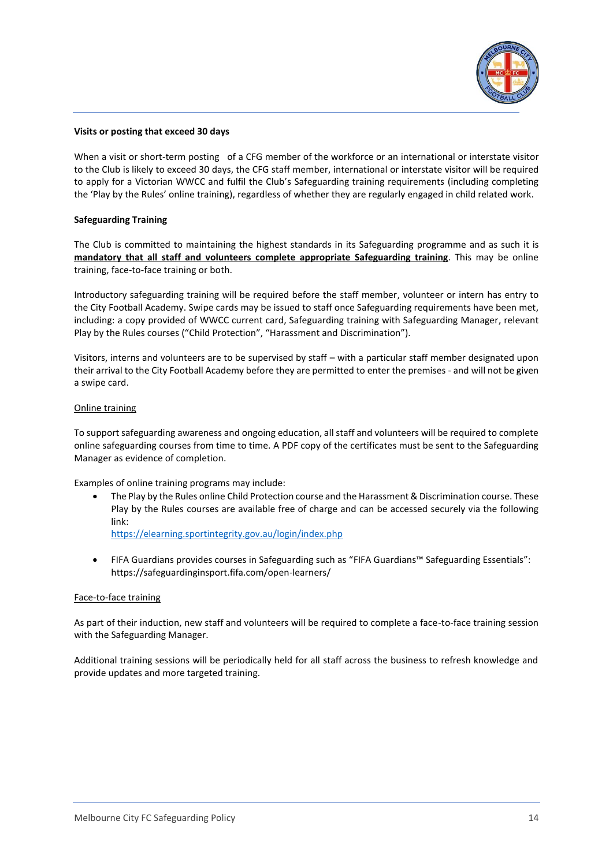

#### **Visits or posting that exceed 30 days**

When a visit or short-term posting of a CFG member of the workforce or an international or interstate visitor to the Club is likely to exceed 30 days, the CFG staff member, international or interstate visitor will be required to apply for a Victorian WWCC and fulfil the Club's Safeguarding training requirements (including completing the 'Play by the Rules' online training), regardless of whether they are regularly engaged in child related work.

#### **Safeguarding Training**

The Club is committed to maintaining the highest standards in its Safeguarding programme and as such it is **mandatory that all staff and volunteers complete appropriate Safeguarding training**. This may be online training, face-to-face training or both.

Introductory safeguarding training will be required before the staff member, volunteer or intern has entry to the City Football Academy. Swipe cards may be issued to staff once Safeguarding requirements have been met, including: a copy provided of WWCC current card, Safeguarding training with Safeguarding Manager, relevant Play by the Rules courses ("Child Protection", "Harassment and Discrimination").

Visitors, interns and volunteers are to be supervised by staff – with a particular staff member designated upon their arrival to the City Football Academy before they are permitted to enter the premises - and will not be given a swipe card.

#### Online training

To support safeguarding awareness and ongoing education, all staff and volunteers will be required to complete online safeguarding courses from time to time. A PDF copy of the certificates must be sent to the Safeguarding Manager as evidence of completion.

Examples of online training programs may include:

• The Play by the Rules online Child Protection course and the Harassment & Discrimination course. These Play by the Rules courses are available free of charge and can be accessed securely via the following link:

<https://elearning.sportintegrity.gov.au/login/index.php>

• FIFA Guardians provides courses in Safeguarding such as "FIFA Guardians™ Safeguarding Essentials": https://safeguardinginsport.fifa.com/open-learners/

#### Face-to-face training

As part of their induction, new staff and volunteers will be required to complete a face-to-face training session with the Safeguarding Manager.

Additional training sessions will be periodically held for all staff across the business to refresh knowledge and provide updates and more targeted training.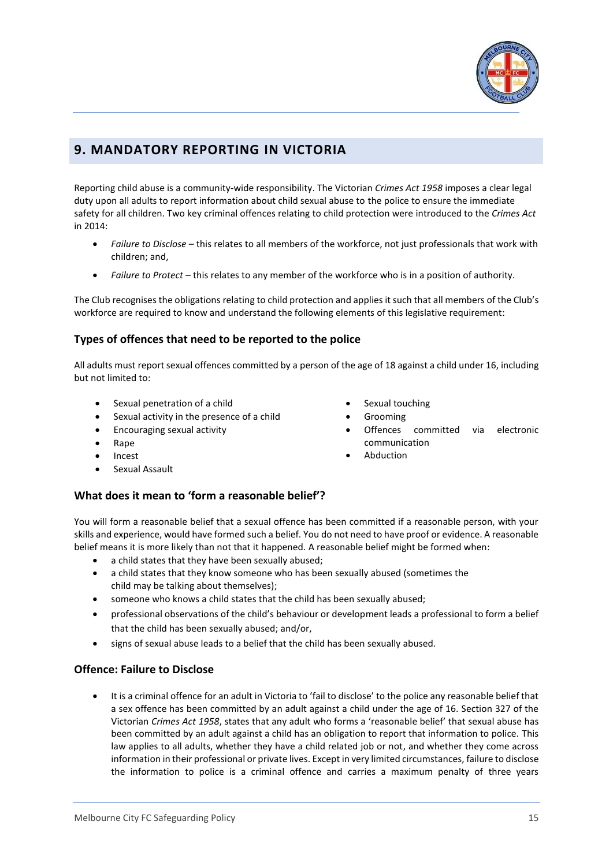

# <span id="page-14-0"></span>**9. MANDATORY REPORTING IN VICTORIA**

Reporting child abuse is a community-wide responsibility. The Victorian *Crimes Act 1958* imposes a clear legal duty upon all adults to report information about child sexual abuse to the police to ensure the immediate safety for all children. Two key criminal offences relating to child protection were introduced to the *Crimes Act* in 2014:

- *Failure to Disclose*  this relates to all members of the workforce, not just professionals that work with children; and,
- *Failure to Protect* this relates to any member of the workforce who is in a position of authority.

The Club recognises the obligations relating to child protection and applies it such that all members of the Club's workforce are required to know and understand the following elements of this legislative requirement:

### **Types of offences that need to be reported to the police**

All adults must report sexual offences committed by a person of the age of 18 against a child under 16, including but not limited to:

- Sexual penetration of a child
- Sexual activity in the presence of a child
- Encouraging sexual activity
- Rape
- Incest
- Sexual Assault

### **What does it mean to 'form a reasonable belief'?**

You will form a reasonable belief that a sexual offence has been committed if a reasonable person, with your skills and experience, would have formed such a belief. You do not need to have proof or evidence. A reasonable belief means it is more likely than not that it happened. A reasonable belief might be formed when:

- a child states that they have been sexually abused;
- a child states that they know someone who has been sexually abused (sometimes the child may be talking about themselves);
- someone who knows a child states that the child has been sexually abused;
- professional observations of the child's behaviour or development leads a professional to form a belief that the child has been sexually abused; and/or,
- signs of sexual abuse leads to a belief that the child has been sexually abused.

#### **Offence: Failure to Disclose**

• It is a criminal offence for an adult in Victoria to 'fail to disclose' to the police any reasonable belief that a sex offence has been committed by an adult against a child under the age of 16. Section 327 of the Victorian *Crimes Act 1958*, states that any adult who forms a 'reasonable belief' that sexual abuse has been committed by an adult against a child has an obligation to report that information to police. This law applies to all adults, whether they have a child related job or not, and whether they come across information in their professional or private lives. Except in very limited circumstances, failure to disclose the information to police is a criminal offence and carries a maximum penalty of three years

#### Sexual touching

- Grooming
- Offences committed via electronic communication
- **Abduction**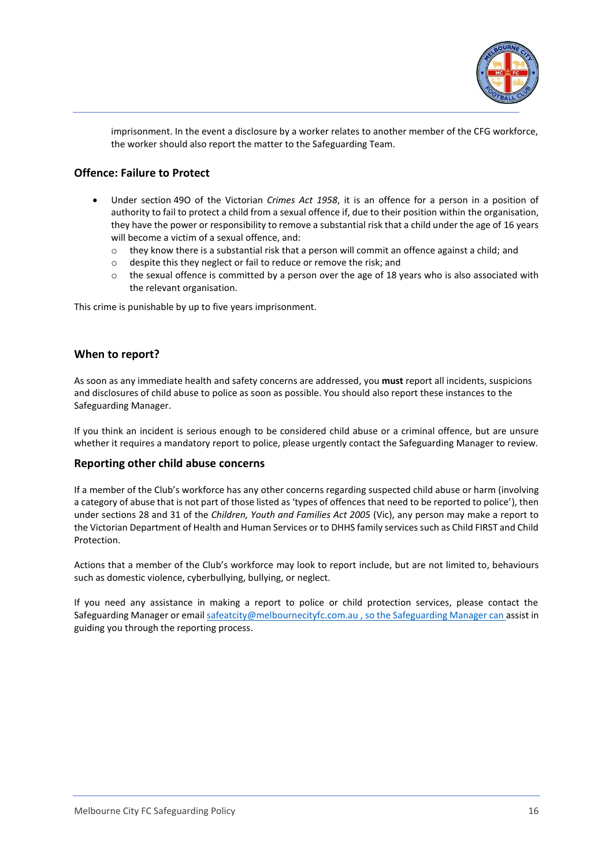

imprisonment. In the event a disclosure by a worker relates to another member of the CFG workforce, the worker should also report the matter to the Safeguarding Team.

### **Offence: Failure to Protect**

- Under section 49O of the Victorian *Crimes Act 1958*, it is an offence for a person in a position of authority to fail to protect a child from a sexual offence if, due to their position within the organisation, they have the power or responsibility to remove a substantial risk that a child under the age of 16 years will become a victim of a sexual offence, and:
	- $\circ$  they know there is a substantial risk that a person will commit an offence against a child; and
	- o despite this they neglect or fail to reduce or remove the risk; and
	- o the sexual offence is committed by a person over the age of 18 years who is also associated with the relevant organisation.

This crime is punishable by up to five years imprisonment.

#### **When to report?**

As soon as any immediate health and safety concerns are addressed, you **must** report all incidents, suspicions and disclosures of child abuse to police as soon as possible. You should also report these instances to the Safeguarding Manager.

If you think an incident is serious enough to be considered child abuse or a criminal offence, but are unsure whether it requires a mandatory report to police, please urgently contact the Safeguarding Manager to review.

#### **Reporting other child abuse concerns**

If a member of the Club's workforce has any other concerns regarding suspected child abuse or harm (involving a category of abuse that is not part of those listed as 'types of offences that need to be reported to police'), then under sections 28 and 31 of the *Children, Youth and Families Act 2005* (Vic), any person may make a report to the Victorian Department of Health and Human Services or to DHHS family services such as Child FIRST and Child Protection.

Actions that a member of the Club's workforce may look to report include, but are not limited to, behaviours such as domestic violence, cyberbullying, bullying, or neglect.

If you need any assistance in making a report to police or child protection services, please contact the Safeguarding Manager or email [safeatcity@melbournecityfc.com.au](mailto:safeatcity@melbournecityfc.com.au) , so the Safeguarding Manager can assist in guiding you through the reporting process.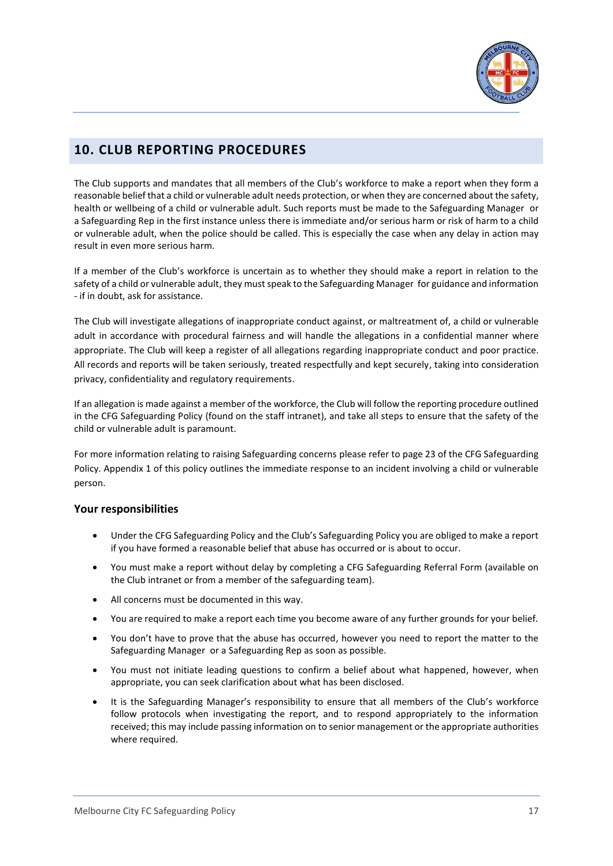

# <span id="page-16-0"></span>**10. CLUB REPORTING PROCEDURES**

The Club supports and mandates that all members of the Club's workforce to make a report when they form a reasonable belief that a child or vulnerable adult needs protection, or when they are concerned about the safety, health or wellbeing of a child or vulnerable adult. Such reports must be made to the Safeguarding Manager or a Safeguarding Rep in the first instance unless there is immediate and/or serious harm or risk of harm to a child or vulnerable adult, when the police should be called. This is especially the case when any delay in action may result in even more serious harm.

If a member of the Club's workforce is uncertain as to whether they should make a report in relation to the safety of a child or vulnerable adult, they must speak to the Safeguarding Manager for guidance and information - if in doubt, ask for assistance.

The Club will investigate allegations of inappropriate conduct against, or maltreatment of, a child or vulnerable adult in accordance with procedural fairness and will handle the allegations in a confidential manner where appropriate. The Club will keep a register of all allegations regarding inappropriate conduct and poor practice. All records and reports will be taken seriously, treated respectfully and kept securely, taking into consideration privacy, confidentiality and regulatory requirements.

If an allegation is made against a member of the workforce, the Club will follow the reporting procedure outlined in the CFG Safeguarding Policy (found on the staff intranet), and take all steps to ensure that the safety of the child or vulnerable adult is paramount.

For more information relating to raising Safeguarding concerns please refer to page 23 of the CFG Safeguarding Policy. Appendix 1 of this policy outlines the immediate response to an incident involving a child or vulnerable person.

### **Your responsibilities**

- Under the CFG Safeguarding Policy and the Club's Safeguarding Policy you are obliged to make a report if you have formed a reasonable belief that abuse has occurred or is about to occur.
- You must make a report without delay by completing a CFG Safeguarding Referral Form (available on the Club intranet or from a member of the safeguarding team).
- All concerns must be documented in this way.
- You are required to make a report each time you become aware of any further grounds for your belief.
- You don't have to prove that the abuse has occurred, however you need to report the matter to the Safeguarding Manager or a Safeguarding Rep as soon as possible.
- You must not initiate leading questions to confirm a belief about what happened, however, when appropriate, you can seek clarification about what has been disclosed.
- It is the Safeguarding Manager's responsibility to ensure that all members of the Club's workforce follow protocols when investigating the report, and to respond appropriately to the information received; this may include passing information on to senior management or the appropriate authorities where required.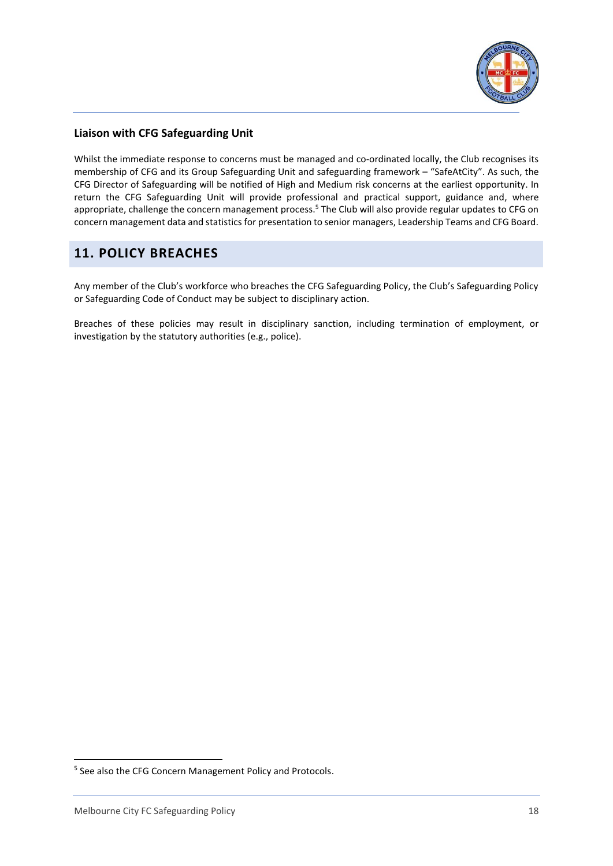

### **Liaison with CFG Safeguarding Unit**

Whilst the immediate response to concerns must be managed and co-ordinated locally, the Club recognises its membership of CFG and its Group Safeguarding Unit and safeguarding framework – "SafeAtCity". As such, the CFG Director of Safeguarding will be notified of High and Medium risk concerns at the earliest opportunity. In return the CFG Safeguarding Unit will provide professional and practical support, guidance and, where appropriate, challenge the concern management process.<sup>5</sup> The Club will also provide regular updates to CFG on concern management data and statistics for presentation to senior managers, Leadership Teams and CFG Board.

# <span id="page-17-0"></span>**11. POLICY BREACHES**

Any member of the Club's workforce who breaches the CFG Safeguarding Policy, the Club's Safeguarding Policy or Safeguarding Code of Conduct may be subject to disciplinary action.

Breaches of these policies may result in disciplinary sanction, including termination of employment, or investigation by the statutory authorities (e.g., police).

<sup>&</sup>lt;sup>5</sup> See also the CFG Concern Management Policy and Protocols.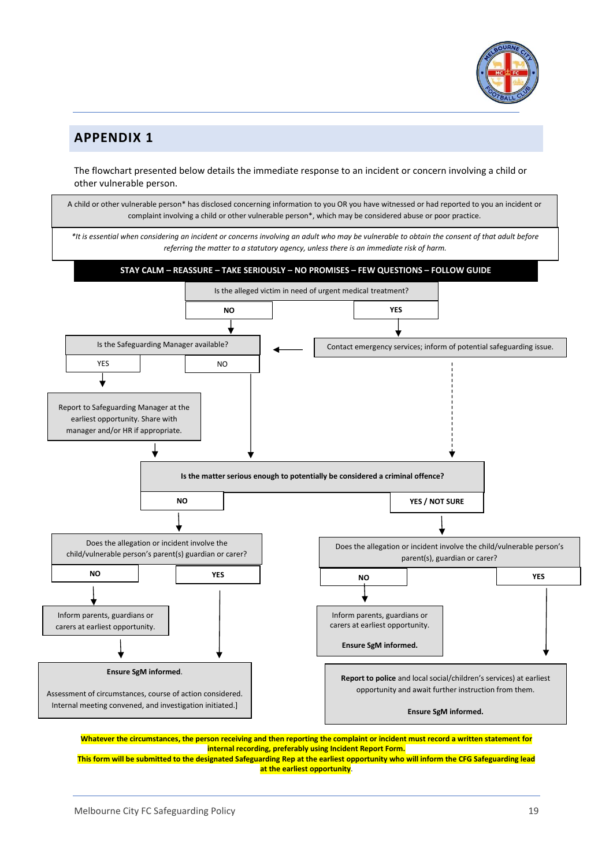

# <span id="page-18-0"></span>**APPENDIX 1**

The flowchart presented below details the immediate response to an incident or concern involving a child or other vulnerable person.



**internal recording, preferably using Incident Report Form. This form will be submitted to the designated Safeguarding Rep at the earliest opportunity who will inform the CFG Safeguarding lead <b>This form will be submitted to the designated Safeguarding lead at the earliest opportunity**.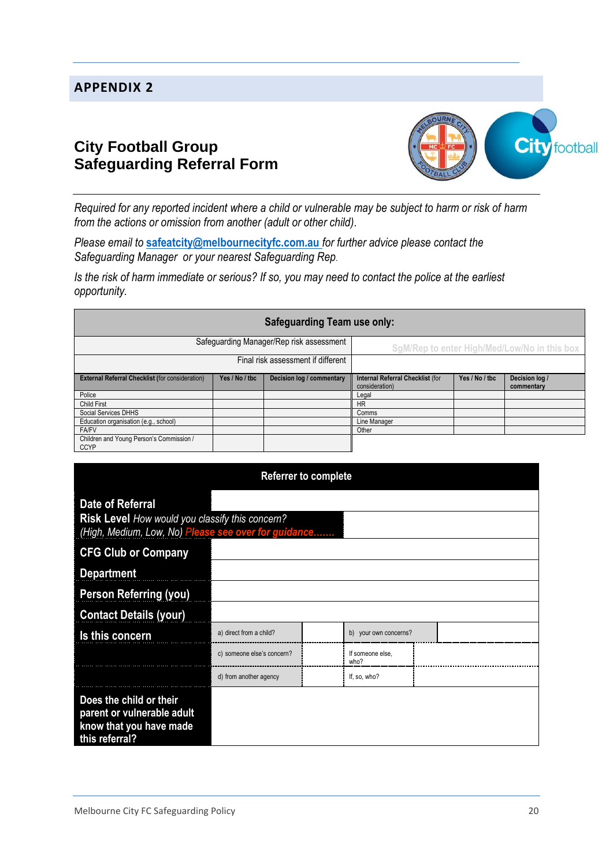# <span id="page-19-0"></span>**APPENDIX 2**

# **City Football Group Safeguarding Referral Form**



*Required for any reported incident where a child or vulnerable may be subject to harm or risk of harm from the actions or omission from another (adult or other child).*

*Please email to* **[safeatcity@melbournecityfc.com.au](mailto:safeatcity@melbournecityfc.com.au)** *for further advice please contact the Safeguarding Manager or your nearest Safeguarding Rep*.

*Is the risk of harm immediate or serious? If so, you may need to contact the police at the earliest opportunity.*

| <b>Safeguarding Team use only:</b>                      |                |                           |                                                    |                |                              |
|---------------------------------------------------------|----------------|---------------------------|----------------------------------------------------|----------------|------------------------------|
| Safeguarding Manager/Rep risk assessment                |                |                           | SgM/Rep to enter High/Med/Low/No in this box       |                |                              |
| Final risk assessment if different                      |                |                           |                                                    |                |                              |
| <b>External Referral Checklist (for consideration)</b>  | Yes / No / tbc | Decision log / commentary | Internal Referral Checklist (for<br>consideration) | Yes / No / tbc | Decision log /<br>commentary |
| Police                                                  |                |                           | Legal                                              |                |                              |
| <b>Child First</b>                                      |                |                           | <b>HR</b>                                          |                |                              |
| Social Services DHHS                                    |                |                           | Comms                                              |                |                              |
| Education organisation (e.g., school)                   |                |                           | Line Manager                                       |                |                              |
| <b>FA/FV</b>                                            |                |                           | Other                                              |                |                              |
| Children and Young Person's Commission /<br><b>CCYP</b> |                |                           |                                                    |                |                              |

| <b>Referrer to complete</b>                                                                                                 |                            |  |                          |  |
|-----------------------------------------------------------------------------------------------------------------------------|----------------------------|--|--------------------------|--|
| Date of Referral<br>Risk Level How would you classify this concern?<br>(High, Medium, Low, No) Please see over for guidance |                            |  |                          |  |
| <b>CFG Club or Company</b>                                                                                                  |                            |  |                          |  |
| <b>Department</b>                                                                                                           |                            |  |                          |  |
| <b>Person Referring (you)</b>                                                                                               |                            |  |                          |  |
| <b>Contact Details (your)</b>                                                                                               |                            |  |                          |  |
| Is this concern                                                                                                             | a) direct from a child?    |  | b) your own concerns?    |  |
|                                                                                                                             | c) someone else's concern? |  | If someone else,<br>who? |  |
|                                                                                                                             | d) from another agency     |  | If, so, who?             |  |
| Does the child or their<br>parent or vulnerable adult<br>know that you have made<br>this referral?                          |                            |  |                          |  |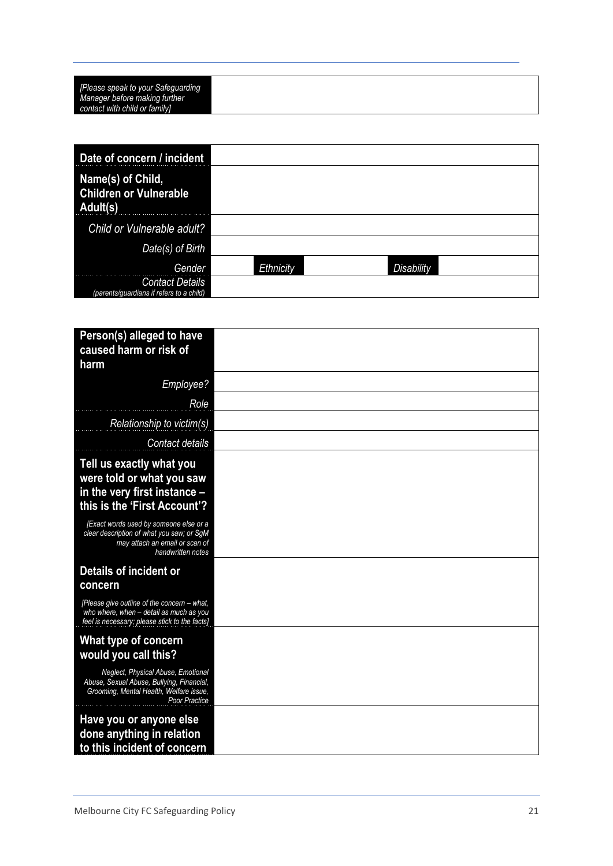| [Please speak to your Safeguarding] |
|-------------------------------------|
| Manager before making further       |
| contact with child or family]       |

| Date of concern / incident                                         |           |            |
|--------------------------------------------------------------------|-----------|------------|
| Name(s) of Child,<br><b>Children or Vulnerable</b><br>Adult(s)     |           |            |
| Child or Vulnerable adult?                                         |           |            |
| Date(s) of Birth                                                   |           |            |
| Gender                                                             | Ethnicity | Disability |
| <b>Contact Details</b><br>(parents/quardians if refers to a child) |           |            |

| Person(s) alleged to have<br>caused harm or risk of<br>harm                                                                                 |  |
|---------------------------------------------------------------------------------------------------------------------------------------------|--|
| Employee?                                                                                                                                   |  |
| Role                                                                                                                                        |  |
| Relationship to victim(s)                                                                                                                   |  |
| Contact details                                                                                                                             |  |
| Tell us exactly what you<br>were told or what you saw<br>in the very first instance -<br>this is the 'First Account'?                       |  |
| [Exact words used by someone else or a<br>clear description of what you saw; or SgM<br>may attach an email or scan of<br>handwritten notes  |  |
| Details of incident or<br>concern                                                                                                           |  |
| [Please give outline of the concern - what,<br>who where, when - detail as much as you<br>feel is necessary; please stick to the facts]     |  |
| What type of concern<br>would you call this?                                                                                                |  |
| Neglect, Physical Abuse, Emotional<br>Abuse, Sexual Abuse, Bullying, Financial,<br>Grooming, Mental Health, Welfare issue,<br>Poor Practice |  |
| Have you or anyone else<br>done anything in relation<br>to this incident of concern                                                         |  |